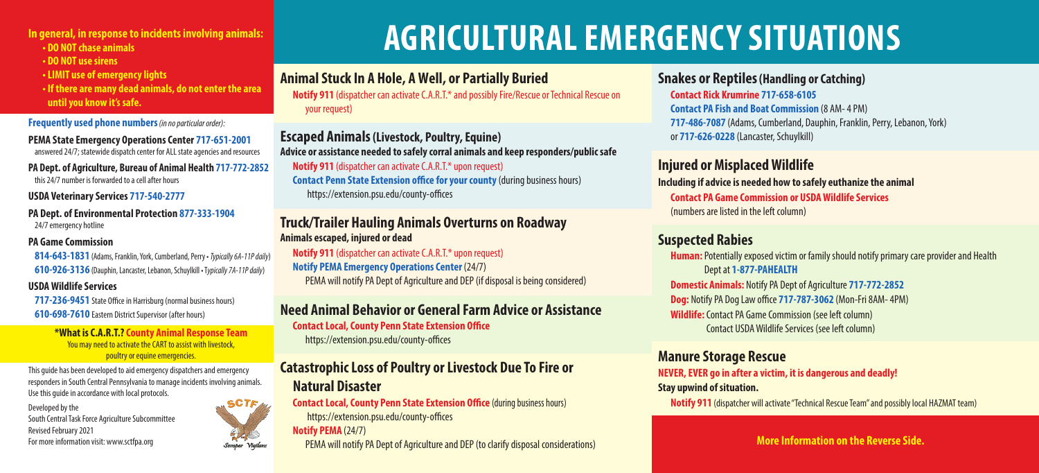**In general, in response to incidents involving animals: • DO NOT chase animals**

- **DO NOT use sirens**
- **LIMIT use of emergency lights**
- **If there are many dead animals, do not enter the area until you know it's safe.**

**Frequently used phone numbers** *(in no particular order):*

**PEMA State Emergency Operations Center 717-651-2001** answered 24/7; statewide dispatch center for ALL state agencies and resources

**PA Dept. of Agriculture, Bureau of Animal Health 717-772-2852** this 24/7 number is forwarded to a cell after hours

#### **USDA Veterinary Services 717-540-2777**

**PA Dept. of Environmental Protection 877-333-1904** 24/7 emergency hotline

#### **PA Game Commission**

**814-643-1831** (Adams, Franklin, York, Cumberland, Perry • *Typically 6A-11P daily*) **610-926-3136** (Dauphin, Lancaster, Lebanon, Schuylkill • T*ypically 7A-11P daily*)

#### **USDA Wildlife Services**

**717-236-9451** State Office in Harrisburg (normal business hours) **610-698-7610** Eastern District Supervisor (after hours)

> **\*What is C.A.R.T.? County Animal Response Team** You may need to activate the CART to assist with livestock, poultry or equine emergencies.

This guide has been developed to aid emergency dispatchers and emergency responders in South Central Pennsylvania to manage incidents involving animals. Use this guide in accordance with local protocols.

Developed by the South Central Task Force Agriculture Subcommittee Revised February 2021



# **AGRICULTURAL EMERGENCY SITUATIONS**

**Animal Stuck In A Hole, A Well, or Partially Buried**

**Notify 911** (dispatcher can activate C.A.R.T.\* and possibly Fire/Rescue or Technical Rescue on your request)

**Escaped Animals (Livestock, Poultry, Equine) Advice or assistance needed to safely corral animals and keep responders/public safe**

**Notify 911** (dispatcher can activate C.A.R.T.\* upon request) **Contact Penn State Extension office for your county** (during business hours) https://extension.psu.edu/county-offices

### **Truck/Trailer Hauling Animals Overturns on Roadway Animals escaped, injured or dead**

**Notify 911** (dispatcher can activate C.A.R.T.\* upon request) **Notify PEMA Emergency Operations Center**(24/7) PEMA will notify PA Dept of Agriculture and DEP (if disposal is being considered)

# **Need Animal Behavior or General Farm Advice or Assistance**

**Contact Local, County Penn State Extension Office**

https://extension.psu.edu/county-offices

# **Catastrophic Loss of Poultry or Livestock Due To Fire or Natural Disaster**

**Contact Local, County Penn State Extension Office (during business hours)**  https://extension.psu.edu/county-offices **Notify PEMA** (24/7)

For more information visit: www.sctfpa.org **Supper Yigilans** Semper Yigilans PEMA will notify PA Dept of Agriculture and DEP (to clarify disposal considerations) **More Information on the Reverse Side.** 

#### **Snakes or Reptiles(Handling or Catching)**

**Contact Rick Krumrine 717-658-6105 Contact PA Fish and Boat Commission** (8 AM- 4 PM) **717-486-7087** (Adams, Cumberland, Dauphin, Franklin, Perry, Lebanon, York) or **717-626-0228** (Lancaster, Schuylkill)

## **Injured or Misplaced Wildlife**

**Including if advice is needed how to safely euthanize the animal Contact PA Game Commission or USDA Wildlife Services** (numbers are listed in the left column)

### **Suspected Rabies**

**Human:**Potentially exposed victim or family should notify primary care provider and Health Dept at **1-877-PAHEALTH Domestic Animals:** Notify PA Dept of Agriculture **717-772-2852 Dog:** Notify PA Dog Law office **717-787-3062** (Mon-Fri 8AM- 4PM) **Wildlife:** Contact PA Game Commission (see left column) Contact USDA Wildlife Services (see left column)

### **Manure Storage Rescue**

**NEVER, EVER go in after a victim, it is dangerous and deadly!** 

#### **Stay upwind of situation.**

**Notify 911** (dispatcher will activate "Technical Rescue Team" and possibly local HAZMAT team)